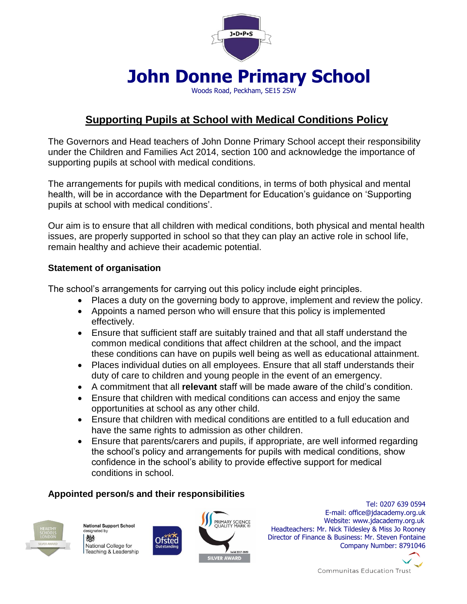

# **John Donne Primary School**

Woods Road, Peckham, SE15 2SW

# **Supporting Pupils at School with Medical Conditions Policy**

The Governors and Head teachers of John Donne Primary School accept their responsibility under the Children and Families Act 2014, section 100 and acknowledge the importance of supporting pupils at school with medical conditions.

The arrangements for pupils with medical conditions, in terms of both physical and mental health, will be in accordance with the Department for Education's guidance on 'Supporting pupils at school with medical conditions'.

Our aim is to ensure that all children with medical conditions, both physical and mental health issues, are properly supported in school so that they can play an active role in school life, remain healthy and achieve their academic potential.

## **Statement of organisation**

The school's arrangements for carrying out this policy include eight principles.

- Places a duty on the governing body to approve, implement and review the policy.
- Appoints a named person who will ensure that this policy is implemented effectively.
- Ensure that sufficient staff are suitably trained and that all staff understand the common medical conditions that affect children at the school, and the impact these conditions can have on pupils well being as well as educational attainment.
- Places individual duties on all employees. Ensure that all staff understands their duty of care to children and young people in the event of an emergency.
- A commitment that all **relevant** staff will be made aware of the child's condition.
- Ensure that children with medical conditions can access and enjoy the same opportunities at school as any other child.
- Ensure that children with medical conditions are entitled to a full education and have the same rights to admission as other children.
- Ensure that parents/carers and pupils, if appropriate, are well informed regarding the school's policy and arrangements for pupils with medical conditions, show confidence in the school's ability to provide effective support for medical conditions in school.

# **Appointed person/s and their responsibilities**

Ofsted



National Support School designated by 燃 National College for Teaching & Leadership



 Tel: 0207 639 0594 E-mail: office@jdacademy.org.uk **Website: www.jdacademy.org.uk**  Headteachers: Mr. Nick Tildesley & Miss Jo Rooney Director of Finance & Business: Mr. Steven Fontaine Company Number: 8791046

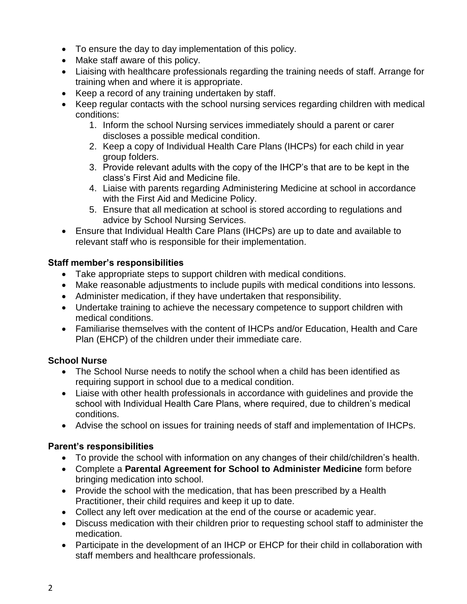- To ensure the day to day implementation of this policy.
- Make staff aware of this policy.
- Liaising with healthcare professionals regarding the training needs of staff. Arrange for training when and where it is appropriate.
- Keep a record of any training undertaken by staff.
- Keep regular contacts with the school nursing services regarding children with medical conditions:
	- 1. Inform the school Nursing services immediately should a parent or carer discloses a possible medical condition.
	- 2. Keep a copy of Individual Health Care Plans (IHCPs) for each child in year group folders.
	- 3. Provide relevant adults with the copy of the IHCP's that are to be kept in the class's First Aid and Medicine file.
	- 4. Liaise with parents regarding Administering Medicine at school in accordance with the First Aid and Medicine Policy.
	- 5. Ensure that all medication at school is stored according to regulations and advice by School Nursing Services.
- Ensure that Individual Health Care Plans (IHCPs) are up to date and available to relevant staff who is responsible for their implementation.

# **Staff member's responsibilities**

- Take appropriate steps to support children with medical conditions.
- Make reasonable adjustments to include pupils with medical conditions into lessons.
- Administer medication, if they have undertaken that responsibility.
- Undertake training to achieve the necessary competence to support children with medical conditions.
- Familiarise themselves with the content of IHCPs and/or Education, Health and Care Plan (EHCP) of the children under their immediate care.

# **School Nurse**

- The School Nurse needs to notify the school when a child has been identified as requiring support in school due to a medical condition.
- Liaise with other health professionals in accordance with guidelines and provide the school with Individual Health Care Plans, where required, due to children's medical conditions.
- Advise the school on issues for training needs of staff and implementation of IHCPs.

# **Parent's responsibilities**

- To provide the school with information on any changes of their child/children's health.
- Complete a **Parental Agreement for School to Administer Medicine** form before bringing medication into school.
- Provide the school with the medication, that has been prescribed by a Health Practitioner, their child requires and keep it up to date.
- Collect any left over medication at the end of the course or academic year.
- Discuss medication with their children prior to requesting school staff to administer the medication.
- Participate in the development of an IHCP or EHCP for their child in collaboration with staff members and healthcare professionals.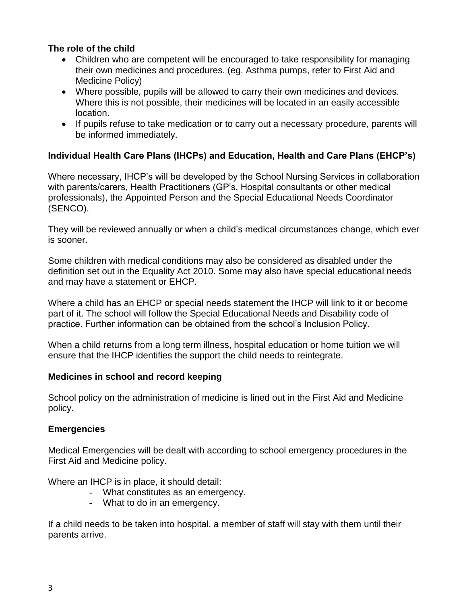#### **The role of the child**

- Children who are competent will be encouraged to take responsibility for managing their own medicines and procedures. (eg. Asthma pumps, refer to First Aid and Medicine Policy)
- Where possible, pupils will be allowed to carry their own medicines and devices. Where this is not possible, their medicines will be located in an easily accessible location.
- If pupils refuse to take medication or to carry out a necessary procedure, parents will be informed immediately.

## **Individual Health Care Plans (IHCPs) and Education, Health and Care Plans (EHCP's)**

Where necessary, IHCP's will be developed by the School Nursing Services in collaboration with parents/carers, Health Practitioners (GP's, Hospital consultants or other medical professionals), the Appointed Person and the Special Educational Needs Coordinator (SENCO).

They will be reviewed annually or when a child's medical circumstances change, which ever is sooner.

Some children with medical conditions may also be considered as disabled under the definition set out in the Equality Act 2010. Some may also have special educational needs and may have a statement or EHCP.

Where a child has an EHCP or special needs statement the IHCP will link to it or become part of it. The school will follow the Special Educational Needs and Disability code of practice. Further information can be obtained from the school's Inclusion Policy.

When a child returns from a long term illness, hospital education or home tuition we will ensure that the IHCP identifies the support the child needs to reintegrate.

#### **Medicines in school and record keeping**

School policy on the administration of medicine is lined out in the First Aid and Medicine policy.

#### **Emergencies**

Medical Emergencies will be dealt with according to school emergency procedures in the First Aid and Medicine policy.

Where an IHCP is in place, it should detail:

- What constitutes as an emergency.
- What to do in an emergency.

If a child needs to be taken into hospital, a member of staff will stay with them until their parents arrive.